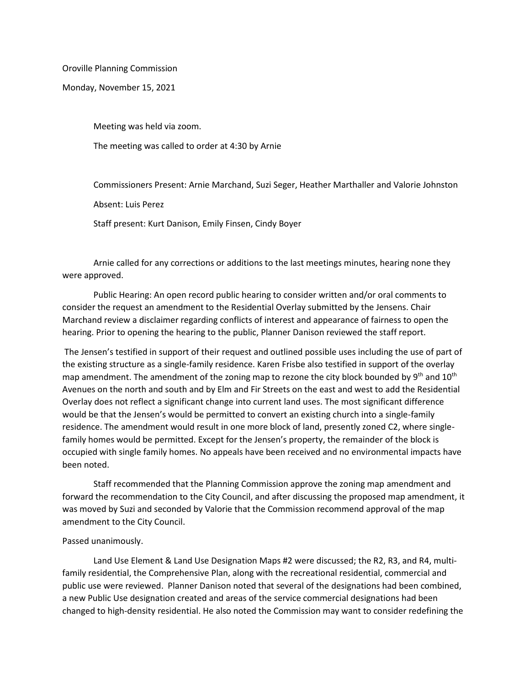Oroville Planning Commission

Monday, November 15, 2021

Meeting was held via zoom.

The meeting was called to order at 4:30 by Arnie

Commissioners Present: Arnie Marchand, Suzi Seger, Heather Marthaller and Valorie Johnston

Absent: Luis Perez

Staff present: Kurt Danison, Emily Finsen, Cindy Boyer

Arnie called for any corrections or additions to the last meetings minutes, hearing none they were approved.

Public Hearing: An open record public hearing to consider written and/or oral comments to consider the request an amendment to the Residential Overlay submitted by the Jensens. Chair Marchand review a disclaimer regarding conflicts of interest and appearance of fairness to open the hearing. Prior to opening the hearing to the public, Planner Danison reviewed the staff report.

The Jensen's testified in support of their request and outlined possible uses including the use of part of the existing structure as a single-family residence. Karen Frisbe also testified in support of the overlay map amendment. The amendment of the zoning map to rezone the city block bounded by  $9<sup>th</sup>$  and  $10<sup>th</sup>$ Avenues on the north and south and by Elm and Fir Streets on the east and west to add the Residential Overlay does not reflect a significant change into current land uses. The most significant difference would be that the Jensen's would be permitted to convert an existing church into a single-family residence. The amendment would result in one more block of land, presently zoned C2, where singlefamily homes would be permitted. Except for the Jensen's property, the remainder of the block is occupied with single family homes. No appeals have been received and no environmental impacts have been noted.

Staff recommended that the Planning Commission approve the zoning map amendment and forward the recommendation to the City Council, and after discussing the proposed map amendment, it was moved by Suzi and seconded by Valorie that the Commission recommend approval of the map amendment to the City Council.

## Passed unanimously.

Land Use Element & Land Use Designation Maps #2 were discussed; the R2, R3, and R4, multifamily residential, the Comprehensive Plan, along with the recreational residential, commercial and public use were reviewed. Planner Danison noted that several of the designations had been combined, a new Public Use designation created and areas of the service commercial designations had been changed to high-density residential. He also noted the Commission may want to consider redefining the